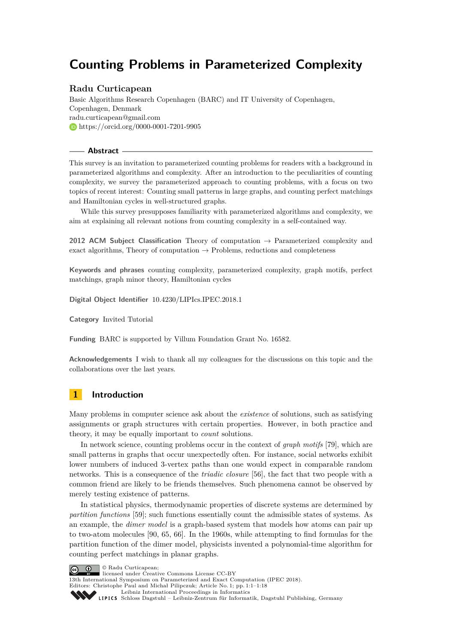# **Counting Problems in Parameterized Complexity**

# **Radu Curticapean**

Basic Algorithms Research Copenhagen (BARC) and IT University of Copenhagen, Copenhagen, Denmark [radu.curticapean@gmail.com](mailto:radu.curticapean@gmail.com) <https://orcid.org/0000-0001-7201-9905>

# **Abstract**

This survey is an invitation to parameterized counting problems for readers with a background in parameterized algorithms and complexity. After an introduction to the peculiarities of counting complexity, we survey the parameterized approach to counting problems, with a focus on two topics of recent interest: Counting small patterns in large graphs, and counting perfect matchings and Hamiltonian cycles in well-structured graphs.

While this survey presupposes familiarity with parameterized algorithms and complexity, we aim at explaining all relevant notions from counting complexity in a self-contained way.

**2012 ACM Subject Classification** Theory of computation → Parameterized complexity and exact algorithms, Theory of computation  $\rightarrow$  Problems, reductions and completeness

**Keywords and phrases** counting complexity, parameterized complexity, graph motifs, perfect matchings, graph minor theory, Hamiltonian cycles

**Digital Object Identifier** [10.4230/LIPIcs.IPEC.2018.1](https://doi.org/10.4230/LIPIcs.IPEC.2018.1)

**Category** Invited Tutorial

**Funding** BARC is supported by Villum Foundation Grant No. 16582.

**Acknowledgements** I wish to thank all my colleagues for the discussions on this topic and the collaborations over the last years.

# **1 Introduction**

Many problems in computer science ask about the *existence* of solutions, such as satisfying assignments or graph structures with certain properties. However, in both practice and theory, it may be equally important to *count* solutions.

In network science, counting problems occur in the context of *graph motifs* [\[79\]](#page-16-0), which are small patterns in graphs that occur unexpectedly often. For instance, social networks exhibit lower numbers of induced 3-vertex paths than one would expect in comparable random networks. This is a consequence of the *triadic closure* [\[56\]](#page-15-0), the fact that two people with a common friend are likely to be friends themselves. Such phenomena cannot be observed by merely testing existence of patterns.

In statistical physics, thermodynamic properties of discrete systems are determined by *partition functions* [\[59\]](#page-15-1); such functions essentially count the admissible states of systems. As an example, the *dimer model* is a graph-based system that models how atoms can pair up to two-atom molecules [\[90,](#page-16-1) [65,](#page-15-2) [66\]](#page-15-3). In the 1960s, while attempting to find formulas for the partition function of the dimer model, physicists invented a polynomial-time algorithm for counting perfect matchings in planar graphs.

© Radu Curticapean;  $\boxed{6}$  0



13th International Symposium on Parameterized and Exact Computation (IPEC 2018).

Editors: Christophe Paul and Michał Pilipczuk; Article No. 1; pp. 1:1–1[:18](#page-17-0)



[Schloss Dagstuhl – Leibniz-Zentrum für Informatik, Dagstuhl Publishing, Germany](http://www.dagstuhl.de)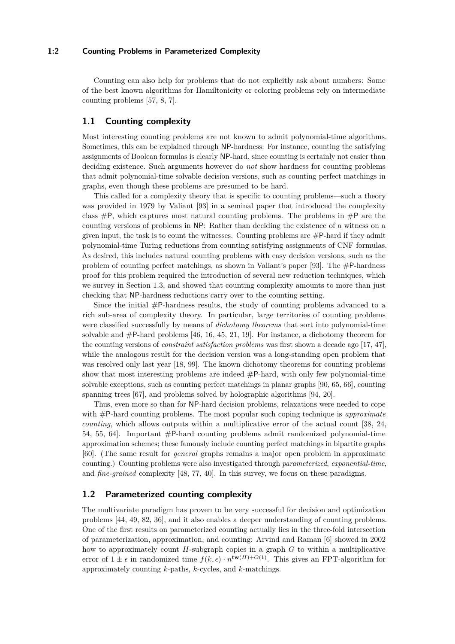# **1:2 Counting Problems in Parameterized Complexity**

Counting can also help for problems that do not explicitly ask about numbers: Some of the best known algorithms for Hamiltonicity or coloring problems rely on intermediate counting problems [\[57,](#page-15-4) [8,](#page-12-0) [7\]](#page-12-1).

# **1.1 Counting complexity**

Most interesting counting problems are not known to admit polynomial-time algorithms. Sometimes, this can be explained through NP-hardness: For instance, counting the satisfying assignments of Boolean formulas is clearly NP-hard, since counting is certainly not easier than deciding existence. Such arguments however do *not* show hardness for counting problems that admit polynomial-time solvable decision versions, such as counting perfect matchings in graphs, even though these problems are presumed to be hard.

This called for a complexity theory that is specific to counting problems—such a theory was provided in 1979 by Valiant [\[93\]](#page-17-1) in a seminal paper that introduced the complexity class  $\#P$ , which captures most natural counting problems. The problems in  $\#P$  are the counting versions of problems in NP: Rather than deciding the existence of a witness on a given input, the task is to count the witnesses. Counting problems are  $\#P$ -hard if they admit polynomial-time Turing reductions from counting satisfying assignments of CNF formulas. As desired, this includes natural counting problems with easy decision versions, such as the problem of counting perfect matchings, as shown in Valiant's paper [\[93\]](#page-17-1). The #P-hardness proof for this problem required the introduction of several new reduction techniques, which we survey in Section [1.3,](#page-2-0) and showed that counting complexity amounts to more than just checking that NP-hardness reductions carry over to the counting setting.

Since the initial  $#P$ -hardness results, the study of counting problems advanced to a rich sub-area of complexity theory. In particular, large territories of counting problems were classified successfully by means of *dichotomy theorems* that sort into polynomial-time solvable and  $\#P$ -hard problems [\[46,](#page-14-0) [16,](#page-12-2) [45,](#page-14-1) [21,](#page-13-0) [19\]](#page-13-1). For instance, a dichotomy theorem for the counting versions of *constraint satisfaction problems* was first shown a decade ago [\[17,](#page-13-2) [47\]](#page-14-2), while the analogous result for the decision version was a long-standing open problem that was resolved only last year [\[18,](#page-13-3) [99\]](#page-17-2). The known dichotomy theorems for counting problems show that most interesting problems are indeed #P-hard, with only few polynomial-time solvable exceptions, such as counting perfect matchings in planar graphs [\[90,](#page-16-1) [65,](#page-15-2) [66\]](#page-15-3), counting spanning trees [\[67\]](#page-15-5), and problems solved by holographic algorithms [\[94,](#page-17-3) [20\]](#page-13-4).

Thus, even more so than for NP-hard decision problems, relaxations were needed to cope with #P-hard counting problems. The most popular such coping technique is *approximate counting*, which allows outputs within a multiplicative error of the actual count [\[38,](#page-14-3) [24,](#page-13-5) [54,](#page-15-6) [55,](#page-15-7) [64\]](#page-15-8). Important #P-hard counting problems admit randomized polynomial-time approximation schemes; these famously include counting perfect matchings in bipartite graphs [\[60\]](#page-15-9). (The same result for *general* graphs remains a major open problem in approximate counting.) Counting problems were also investigated through *parameterized*, *exponential-time*, and *fine-grained* complexity [\[48,](#page-14-4) [77,](#page-16-2) [40\]](#page-14-5). In this survey, we focus on these paradigms.

# **1.2 Parameterized counting complexity**

The multivariate paradigm has proven to be very successful for decision and optimization problems [\[44,](#page-14-6) [49,](#page-14-7) [82,](#page-16-3) [36\]](#page-14-8), and it also enables a deeper understanding of counting problems. One of the first results on parameterized counting actually lies in the three-fold intersection of parameterization, approximation, and counting: Arvind and Raman [\[6\]](#page-12-3) showed in 2002 how to approximately count *H*-subgraph copies in a graph *G* to within a multiplicative error of  $1 \pm \epsilon$  in randomized time  $f(k, \epsilon) \cdot n^{\mathbf{tw}(H)+O(1)}$ . This gives an FPT-algorithm for approximately counting *k*-paths, *k*-cycles, and *k*-matchings.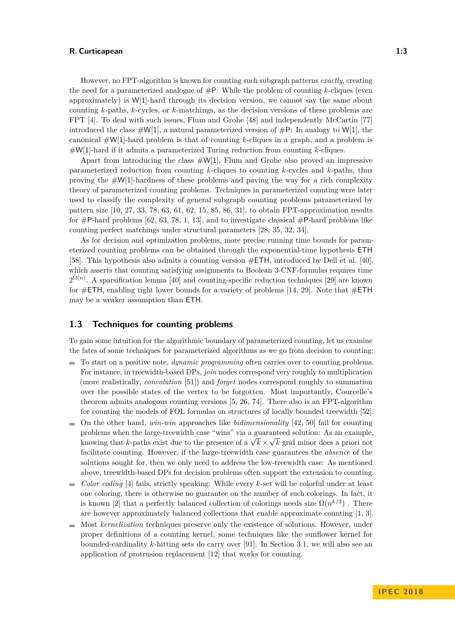However, no FPT-algorithm is known for counting such subgraph patterns *exactly*, creating the need for a parameterized analogue of #P: While the problem of counting *k*-cliques (even approximately) is W[1]-hard through its decision version, we cannot say the same about counting *k*-paths, *k*-cycles, or *k*-matchings, as the decision versions of these problems are FPT [\[4\]](#page-12-4). To deal with such issues, Flum and Grohe [\[48\]](#page-14-4) and independently McCartin [\[77\]](#page-16-2) introduced the class  $\sharp W[1]$ , a natural parameterized version of  $\sharp P$ : In analogy to W[1], the canonical #W[1]-hard problem is that of counting *k*-cliques in a graph, and a problem is #W[1]-hard if it admits a parameterized Turing reduction from counting *k*-cliques.

Apart from introducing the class  $\#\mathsf{W}[1]$ , Flum and Grohe also proved an impressive parameterized reduction from counting *k*-cliques to counting *k*-cycles and *k*-paths, thus proving the  $\#W[1]$ -hardness of these problems and paving the way for a rich complexity theory of parameterized counting problems. Techniques in parameterized counting were later used to classify the complexity of general subgraph counting problems parameterized by pattern size [\[10,](#page-12-5) [27,](#page-13-6) [33,](#page-14-9) [78,](#page-16-4) [63,](#page-15-10) [61,](#page-15-11) [62,](#page-15-12) [15,](#page-12-6) [85,](#page-16-5) [86,](#page-16-6) [31\]](#page-13-7), to obtain FPT-approximation results for  $\#P$ -hard problems [\[62,](#page-15-12) [63,](#page-15-10) [78,](#page-16-4) [1,](#page-12-7) [13\]](#page-12-8), and to investigate classical  $\#P$ -hard problems like counting perfect matchings under structural parameters [\[28,](#page-13-8) [35,](#page-14-10) [32,](#page-13-9) [34\]](#page-14-11).

As for decision and optimization problems, more precise running time bounds for parameterized counting problems can be obtained through the exponential-time hypothesis ETH [\[58\]](#page-15-13). This hypothesis also admits a counting version #ETH, introduced by Dell et al. [\[40\]](#page-14-5), which asserts that counting satisfying assignments to Boolean 3-CNF-formulas requires time  $2^{\Omega(n)}$ . A sparsification lemma [\[40\]](#page-14-5) and counting-specific reduction techniques [\[29\]](#page-13-10) are known for  $\#ETH$ , enabling tight lower bounds for a variety of problems [\[14,](#page-12-9) [29\]](#page-13-10). Note that  $\#ETH$ may be a weaker assumption than ETH.

# <span id="page-2-0"></span>**1.3 Techniques for counting problems**

To gain some intuition for the algorithmic boundary of parameterized counting, let us examine the fates of some techniques for parameterized algorithms as we go from decision to counting:

- To start on a positive note, *dynamic programming* often carries over to counting problems. For instance, in treewidth-based DPs, *join* nodes correspond very roughly to multiplication (more realistically, *convolution* [\[51\]](#page-14-12)) and *forget* nodes correspond roughly to summation over the possible states of the vertex to be forgotten. Most importantly, Courcelle's theorem admits analogous counting versions [\[5,](#page-12-10) [26,](#page-13-11) [74\]](#page-16-7). There also is an FPT-algorithm for counting the models of FOL formulas on structures of locally bounded treewidth [\[52\]](#page-15-14).
- $\blacksquare$  On the other hand, *win-win* approaches like *bidimensionality* [\[42,](#page-14-13) [50\]](#page-14-14) fail for counting problems when the large-treewidth case "wins" via a guaranteed solution: As an example, problems when the large-treewidth case wins via a guaranteed solution: As an example,<br>knowing that *k*-paths exist due to the presence of a  $\sqrt{k} \times \sqrt{k}$  grid minor does a priori not facilitate counting. However, if the large-treewidth case guarantees the *absence* of the solutions sought for, then we only need to address the low-treewidth case: As mentioned above, treewidth-based DPs for decision problems often support the extension to counting.
- *Color coding* [\[4\]](#page-12-4) fails, strictly speaking: While every *k*-set will be colorful under at least one coloring, there is otherwise no guarantee on the number of such colorings. In fact, it is known [\[2\]](#page-12-11) that a perfectly balanced collection of colorings needs size  $\Omega(n^{k/2})$ . There are however approximately balanced collections that enable approximate counting [\[1,](#page-12-7) [3\]](#page-12-12).
- Most *kernelization* techniques preserve only the existence of solutions. However, under  $\rightarrow$ proper definitions of a counting kernel, some techniques like the sunflower kernel for bounded-cardinality *k*-hitting sets do carry over [\[91\]](#page-17-4). In Section [3.1,](#page-9-0) we will also see an application of protrusion replacement [\[12\]](#page-12-13) that works for counting.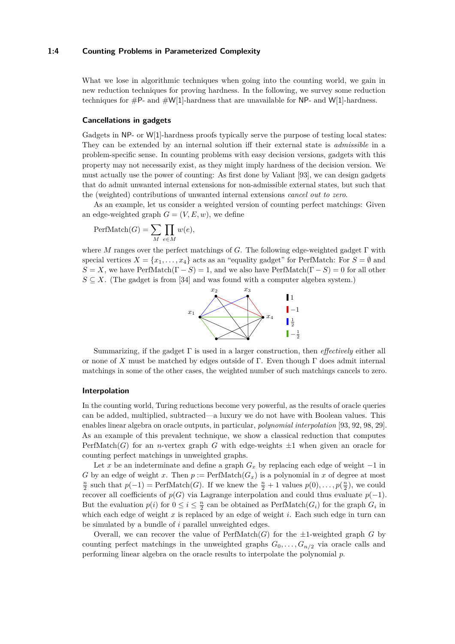#### **1:4 Counting Problems in Parameterized Complexity**

What we lose in algorithmic techniques when going into the counting world, we gain in new reduction techniques for proving hardness. In the following, we survey some reduction techniques for  $\#P$ - and  $\#W[1]$ -hardness that are unavailable for NP- and W[1]-hardness.

#### **Cancellations in gadgets**

Gadgets in NP- or W[1]-hardness proofs typically serve the purpose of testing local states: They can be extended by an internal solution iff their external state is *admissible* in a problem-specific sense. In counting problems with easy decision versions, gadgets with this property may not necessarily exist, as they might imply hardness of the decision version. We must actually use the power of counting: As first done by Valiant [\[93\]](#page-17-1), we can design gadgets that do admit unwanted internal extensions for non-admissible external states, but such that the (weighted) contributions of unwanted internal extensions *cancel out to zero*.

As an example, let us consider a weighted version of counting perfect matchings: Given an edge-weighted graph  $G = (V, E, w)$ , we define

$$
\text{PerfMatch}(G) = \sum_{M} \prod_{e \in M} w(e),
$$

where *M* ranges over the perfect matchings of *G*. The following edge-weighted gadget Γ with special vertices  $X = \{x_1, \ldots, x_4\}$  acts as an "equality gadget" for PerfMatch: For  $S = \emptyset$  and  $S = X$ , we have PerfMatch( $\Gamma - S$ ) = 1, and we also have PerfMatch( $\Gamma - S$ ) = 0 for all other  $S \subseteq X$ . (The gadget is from [\[34\]](#page-14-11) and was found with a computer algebra system.)



Summarizing, if the gadget Γ is used in a larger construction, then *effectively* either all or none of *X* must be matched by edges outside of Γ. Even though Γ does admit internal matchings in some of the other cases, the weighted number of such matchings cancels to zero.

#### **Interpolation**

In the counting world, Turing reductions become very powerful, as the results of oracle queries can be added, multiplied, subtracted—a luxury we do not have with Boolean values. This enables linear algebra on oracle outputs, in particular, *polynomial interpolation* [\[93,](#page-17-1) [92,](#page-17-5) [98,](#page-17-6) [29\]](#page-13-10). As an example of this prevalent technique, we show a classical reduction that computes PerfMatch(*G*) for an *n*-vertex graph *G* with edge-weights  $\pm 1$  when given an oracle for counting perfect matchings in unweighted graphs.

Let *x* be an indeterminate and define a graph  $G_x$  by replacing each edge of weight  $-1$  in *G* by an edge of weight *x*. Then  $p := \text{PerfMatch}(G_x)$  is a polynomial in *x* of degree at most  $\frac{n}{2}$  such that  $p(-1) = \text{PerfMatch}(G)$ . If we knew the  $\frac{n}{2} + 1$  values  $p(0), \ldots, p(\frac{n}{2})$ , we could recover all coefficients of  $p(G)$  via Lagrange interpolation and could thus evaluate  $p(-1)$ . But the evaluation  $p(i)$  for  $0 \leq i \leq \frac{n}{2}$  can be obtained as PerfMatch( $G_i$ ) for the graph  $G_i$  in which each edge of weight *x* is replaced by an edge of weight *i*. Each such edge in turn can be simulated by a bundle of *i* parallel unweighted edges.

Overall, we can recover the value of  $\text{PerfMatch}(G)$  for the  $\pm 1$ -weighted graph *G* by counting perfect matchings in the unweighted graphs  $G_0, \ldots, G_{n/2}$  via oracle calls and performing linear algebra on the oracle results to interpolate the polynomial *p*.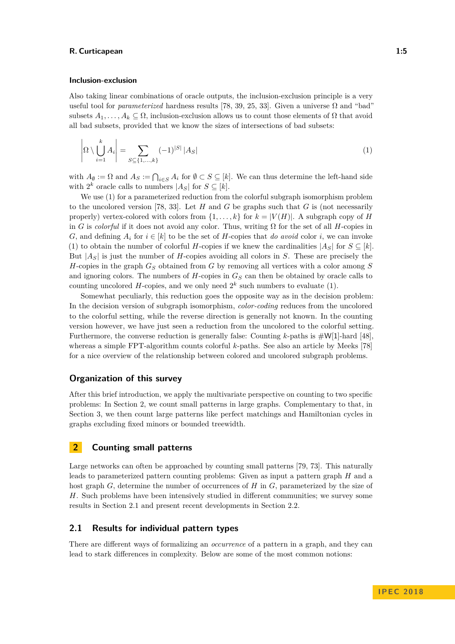#### **Inclusion-exclusion**

Also taking linear combinations of oracle outputs, the inclusion-exclusion principle is a very useful tool for *parameterized* hardness results [\[78,](#page-16-4) [39,](#page-14-15) [25,](#page-13-12) [33\]](#page-14-9). Given a universe  $\Omega$  and "bad" subsets  $A_1, \ldots, A_k \subseteq \Omega$ , inclusion-exclusion allows us to count those elements of  $\Omega$  that avoid all bad subsets, provided that we know the sizes of intersections of bad subsets:

<span id="page-4-0"></span>
$$
\left| \Omega \setminus \bigcup_{i=1}^{k} A_i \right| = \sum_{S \subseteq \{1, \dots, k\}} (-1)^{|S|} |A_S| \tag{1}
$$

with  $A_{\emptyset} := \Omega$  and  $A_S := \bigcap_{i \in S} A_i$  for  $\emptyset \subset S \subseteq [k]$ . We can thus determine the left-hand side with  $2^k$  oracle calls to numbers  $|A_S|$  for  $S \subseteq [k]$ .

We use [\(1\)](#page-4-0) for a parameterized reduction from the colorful subgraph isomorphism problem to the uncolored version [\[78,](#page-16-4) [33\]](#page-14-9). Let *H* and *G* be graphs such that *G* is (not necessarily properly) vertex-colored with colors from  $\{1, \ldots, k\}$  for  $k = |V(H)|$ . A subgraph copy of *H* in *G* is *colorful* if it does not avoid any color. Thus, writing  $\Omega$  for the set of all *H*-copies in *G*, and defining  $A_i$  for  $i \in [k]$  to be the set of *H*-copies that *do avoid* color *i*, we can invoke [\(1\)](#page-4-0) to obtain the number of colorful *H*-copies if we knew the cardinalities  $|A_S|$  for  $S \subseteq [k]$ . But |*AS*| is just the number of *H*-copies avoiding all colors in *S*. These are precisely the *H*-copies in the graph *G<sup>S</sup>* obtained from *G* by removing all vertices with a color among *S* and ignoring colors. The numbers of *H*-copies in *G<sup>S</sup>* can then be obtained by oracle calls to counting uncolored  $H$ -copies, and we only need  $2^k$  such numbers to evaluate [\(1\)](#page-4-0).

Somewhat peculiarly, this reduction goes the opposite way as in the decision problem: In the decision version of subgraph isomorphism, *color-coding* reduces from the uncolored to the colorful setting, while the reverse direction is generally not known. In the counting version however, we have just seen a reduction from the uncolored to the colorful setting. Furthermore, the converse reduction is generally false: Counting *k*-paths is #W[1]-hard [\[48\]](#page-14-4), whereas a simple FPT-algorithm counts colorful *k*-paths. See also an article by Meeks [\[78\]](#page-16-4) for a nice overview of the relationship between colored and uncolored subgraph problems.

# **Organization of this survey**

After this brief introduction, we apply the multivariate perspective on counting to two specific problems: In Section [2,](#page-4-1) we count small patterns in large graphs. Complementary to that, in Section [3,](#page-9-1) we then count large patterns like perfect matchings and Hamiltonian cycles in graphs excluding fixed minors or bounded treewidth.

# <span id="page-4-1"></span>**2 Counting small patterns**

Large networks can often be approached by counting small patterns [\[79,](#page-16-0) [73\]](#page-16-8). This naturally leads to parameterized pattern counting problems: Given as input a pattern graph *H* and a host graph *G*, determine the number of occurrences of *H* in *G*, parameterized by the size of *H*. Such problems have been intensively studied in different communities; we survey some results in Section [2.1](#page-4-2) and present recent developments in Section [2.2.](#page-6-0)

# <span id="page-4-2"></span>**2.1 Results for individual pattern types**

There are different ways of formalizing an *occurrence* of a pattern in a graph, and they can lead to stark differences in complexity. Below are some of the most common notions: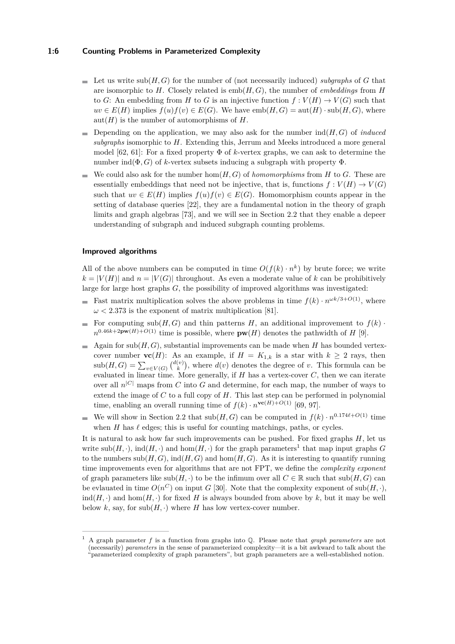## **1:6 Counting Problems in Parameterized Complexity**

- $\blacksquare$  Let us write sub(*H, G*) for the number of (not necessarily induced) *subgraphs* of *G* that are isomorphic to *H*. Closely related is emb(*H, G*), the number of *embeddings* from *H* to *G*: An embedding from *H* to *G* is an injective function  $f: V(H) \to V(G)$  such that  $uv \in E(H)$  implies  $f(u)f(v) \in E(G)$ . We have  $emb(H,G) = \text{aut}(H) \cdot \text{sub}(H,G)$ , where  $aut(H)$  is the number of automorphisms of  $H$ .
- Depending on the application, we may also ask for the number  $ind(H, G)$  of *induced subgraphs* isomorphic to *H*. Extending this, Jerrum and Meeks introduced a more general model [\[62,](#page-15-12) [61\]](#page-15-11): For a fixed property  $\Phi$  of *k*-vertex graphs, we can ask to determine the number  $\text{ind}(\Phi, G)$  of *k*-vertex subsets inducing a subgraph with property  $\Phi$ .
- We could also ask for the number  $hom(H, G)$  of *homomorphisms* from *H* to *G*. These are essentially embeddings that need not be injective, that is, functions  $f: V(H) \to V(G)$ such that  $uv \in E(H)$  implies  $f(u)f(v) \in E(G)$ . Homomorphism counts appear in the setting of database queries [\[22\]](#page-13-13), they are a fundamental notion in the theory of graph limits and graph algebras [\[73\]](#page-16-8), and we will see in Section [2.2](#page-6-0) that they enable a depeer understanding of subgraph and induced subgraph counting problems.

#### **Improved algorithms**

All of the above numbers can be computed in time  $O(f(k) \cdot n^k)$  by brute force; we write  $k = |V(H)|$  and  $n = |V(G)|$  throughout. As even a moderate value of k can be prohibitively large for large host graphs *G*, the possibility of improved algorithms was investigated:

- Fast matrix multiplication solves the above problems in time  $f(k) \cdot n^{\omega k/3 + O(1)}$ , where  $\omega$  < 2.373 is the exponent of matrix multiplication [\[81\]](#page-16-9).
- For computing  $\text{sub}(H, G)$  and thin patterns *H*, an additional improvement to  $f(k)$ .  $n^{0.46k+2\mathbf{pw}(H)+O(1)}$  time is possible, where  $\mathbf{pw}(H)$  denotes the pathwidth of *H* [\[9\]](#page-12-14).
- Again for  $sub(H, G)$ , substantial improvements can be made when *H* has bounded vertex- $\equiv$ cover number **vc**(*H*): As an example, if  $H = K_{1,k}$  is a star with  $k \geq 2$  rays, then  $\text{sub}(H, G) = \sum_{v \in V(G)} {d(v) \choose k}$ , where  $d(v)$  denotes the degree of *v*. This formula can be evaluated in linear time. More generally, if  $H$  has a vertex-cover  $C$ , then we can iterate over all  $n^{|C|}$  maps from *C* into *G* and determine, for each map, the number of ways to extend the image of *C* to a full copy of *H*. This last step can be performed in polynomial time, enabling an overall running time of  $f(k) \cdot n^{\text{vc}(H)+O(1)}$  [\[69,](#page-15-15) [97\]](#page-17-7).
- We will show in Section [2.2](#page-6-0) that  $\text{sub}(H, G)$  can be computed in  $f(k) \cdot n^{0.174\ell + O(1)}$  time when  $H$  has  $\ell$  edges; this is useful for counting matchings, paths, or cycles.

It is natural to ask how far such improvements can be pushed. For fixed graphs *H*, let us write  $\text{sub}(H, \cdot)$ ,  $\text{ind}(H, \cdot)$  and  $\text{hom}(H, \cdot)$  for the graph parameters<sup>[1](#page-5-0)</sup> that map input graphs *G* to the numbers  $sub(H, G)$ ,  $ind(H, G)$  and  $hom(H, G)$ . As it is interesting to quantify running time improvements even for algorithms that are not FPT, we define the *complexity exponent* of graph parameters like  $sub(H, \cdot)$  to be the infimum over all  $C \in \mathbb{R}$  such that  $sub(H, G)$  can be evlauated in time  $O(n^C)$  on input *G* [\[30\]](#page-13-14). Note that the complexity exponent of sub $(H, \cdot)$ ,  $ind(H, \cdot)$  and  $hom(H, \cdot)$  for fixed *H* is always bounded from above by *k*, but it may be well below *k*, say, for  $\text{sub}(H, \cdot)$  where *H* has low vertex-cover number.

<span id="page-5-0"></span><sup>1</sup> A graph parameter *f* is a function from graphs into Q. Please note that *graph parameters* are not (necessarily) *parameters* in the sense of parameterized complexity—it is a bit awkward to talk about the "parameterized complexity of graph parameters", but graph parameters are a well-established notion.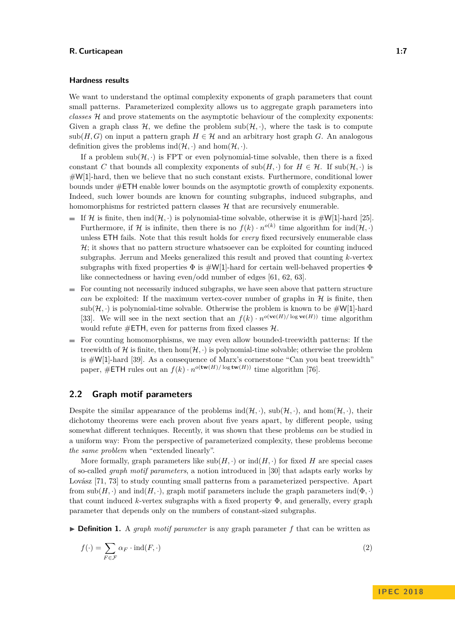#### **Hardness results**

We want to understand the optimal complexity exponents of graph parameters that count small patterns. Parameterized complexity allows us to aggregate graph parameters into *classes* H and prove statements on the asymptotic behaviour of the complexity exponents: Given a graph class  $\mathcal{H}$ , we define the problem  $sub(\mathcal{H}, \cdot)$ , where the task is to compute sub(*H, G*) on input a pattern graph  $H \in \mathcal{H}$  and an arbitrary host graph *G*. An analogous definition gives the problems  $\text{ind}(\mathcal{H}, \cdot)$  and  $\text{hom}(\mathcal{H}, \cdot)$ .

If a problem  $sub(\mathcal{H}, \cdot)$  is FPT or even polynomial-time solvable, then there is a fixed constant *C* that bounds all complexity exponents of  $\text{sub}(H, \cdot)$  for  $H \in \mathcal{H}$ . If  $\text{sub}(\mathcal{H}, \cdot)$  is #W[1]-hard, then we believe that no such constant exists. Furthermore, conditional lower bounds under #ETH enable lower bounds on the asymptotic growth of complexity exponents. Indeed, such lower bounds are known for counting subgraphs, induced subgraphs, and homomorphisms for restricted pattern classes  $H$  that are recursively enumerable.

- If H is finite, then  $ind(\mathcal{H}, \cdot)$  is polynomial-time solvable, otherwise it is  $\#W[1]$ -hard [\[25\]](#page-13-12). Furthermore, if H is infinite, then there is no  $f(k) \cdot n^{o(k)}$  time algorithm for  $\text{ind}(\mathcal{H}, \cdot)$ unless ETH fails. Note that this result holds for *every* fixed recursively enumerable class  $H$ ; it shows that no pattern structure whatsoever can be exploited for counting induced subgraphs. Jerrum and Meeks generalized this result and proved that counting *k*-vertex subgraphs with fixed properties  $\Phi$  is  $\sharp W[1]$ -hard for certain well-behaved properties  $\Phi$ like connectedness or having even/odd number of edges [\[61,](#page-15-11) [62,](#page-15-12) [63\]](#page-15-10).
- $\blacksquare$  For counting not necessarily induced subgraphs, we have seen above that pattern structure *can* be exploited: If the maximum vertex-cover number of graphs in  $H$  is finite, then  $sub(\mathcal{H},\cdot)$  is polynomial-time solvable. Otherwise the problem is known to be  $\#\mathsf{W}[1]$ -hard [\[33\]](#page-14-9). We will see in the next section that an  $f(k) \cdot n^{o(\mathbf{vc}(H)/\log \mathbf{vc}(H))}$  time algorithm would refute  $\#\textsf{ETH}$ , even for patterns from fixed classes  $\mathcal{H}$ .
- $\blacksquare$  For counting homomorphisms, we may even allow bounded-treewidth patterns: If the treewidth of H is finite, then  $hom(H, \cdot)$  is polynomial-time solvable; otherwise the problem is #W[1]-hard [\[39\]](#page-14-15). As a consequence of Marx's cornerstone "Can you beat treewidth" paper,  $\#$ **ETH** rules out an  $f(k) \cdot n^{o(\textbf{tw}(H)/\log \textbf{tw}(H))}$  time algorithm [\[76\]](#page-16-10).

# <span id="page-6-0"></span>**2.2 Graph motif parameters**

Despite the similar appearance of the problems  $ind(\mathcal{H}, \cdot)$ ,  $sub(\mathcal{H}, \cdot)$ , and  $hom(\mathcal{H}, \cdot)$ , their dichotomy theorems were each proven about five years apart, by different people, using somewhat different techniques. Recently, it was shown that these problems *can* be studied in a uniform way: From the perspective of parameterized complexity, these problems become *the same problem* when "extended linearly".

More formally, graph parameters like  $sub(H, \cdot)$  or  $ind(H, \cdot)$  for fixed *H* are special cases of so-called *graph motif parameters*, a notion introduced in [\[30\]](#page-13-14) that adapts early works by Lovász [\[71,](#page-15-16) [73\]](#page-16-8) to study counting small patterns from a parameterized perspective. Apart from  $\text{sub}(H, \cdot)$  and  $\text{ind}(H, \cdot)$ , graph motif parameters include the graph parameters  $\text{ind}(\Phi, \cdot)$ that count induced *k*-vertex subgraphs with a fixed property Φ, and generally, every graph parameter that depends only on the numbers of constant-sized subgraphs.

<span id="page-6-1"></span>**Definition 1.** A *graph motif parameter* is any graph parameter  $f$  that can be written as

<span id="page-6-2"></span>
$$
f(\cdot) = \sum_{F \in \mathcal{F}} \alpha_F \cdot \text{ind}(F, \cdot) \tag{2}
$$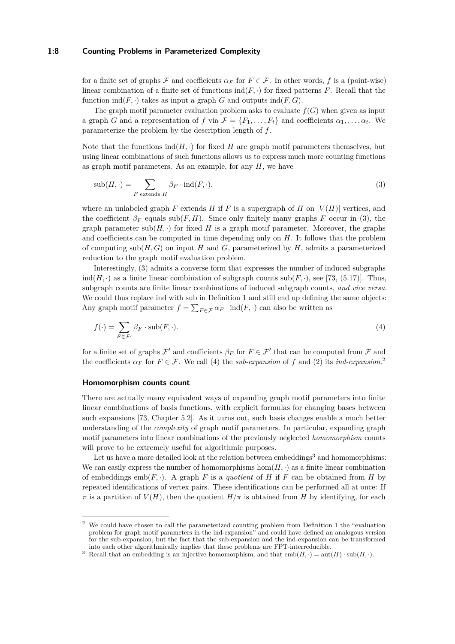#### **1:8 Counting Problems in Parameterized Complexity**

for a finite set of graphs F and coefficients  $\alpha_F$  for  $F \in \mathcal{F}$ . In other words, f is a (point-wise) linear combination of a finite set of functions  $\text{ind}(F, \cdot)$  for fixed patterns *F*. Recall that the function  $\text{ind}(F, \cdot)$  takes as input a graph *G* and outputs  $\text{ind}(F, G)$ .

The graph motif parameter evaluation problem asks to evaluate  $f(G)$  when given as input a graph *G* and a representation of *f* via  $\mathcal{F} = \{F_1, \ldots, F_t\}$  and coefficients  $\alpha_1, \ldots, \alpha_t$ . We parameterize the problem by the description length of *f*.

Note that the functions  $\text{ind}(H, \cdot)$  for fixed *H* are graph motif parameters themselves, but using linear combinations of such functions allows us to express much more counting functions as graph motif parameters. As an example, for any *H*, we have

<span id="page-7-0"></span>
$$
sub(H, \cdot) = \sum_{F \text{ extends } H} \beta_F \cdot ind(F, \cdot), \tag{3}
$$

where an unlabeled graph  $F$  extends  $H$  if  $F$  is a supergraph of  $H$  on  $|V(H)|$  vertices, and the coefficient  $\beta_F$  equals sub(*F, H*). Since only finitely many graphs *F* occur in [\(3\)](#page-7-0), the graph parameter  $\text{sub}(H, \cdot)$  for fixed *H* is a graph motif parameter. Moreover, the graphs and coefficients can be computed in time depending only on *H*. It follows that the problem of computing  $\text{sub}(H, G)$  on input *H* and *G*, parameterized by *H*, admits a parameterized reduction to the graph motif evaluation problem.

Interestingly, [\(3\)](#page-7-0) admits a converse form that expresses the number of induced subgraphs ind $(H, \cdot)$  as a finite linear combination of subgraph counts  $\text{sub}(F, \cdot)$ , see [\[73,](#page-16-8) (5.17)]. Thus, subgraph counts are finite linear combinations of induced subgraph counts, *and vice versa*. We could thus replace ind with sub in Definition [1](#page-6-1) and still end up defining the same objects: Any graph motif parameter  $f = \sum_{F \in \mathcal{F}} \alpha_F \cdot \text{ind}(F, \cdot)$  can also be written as

<span id="page-7-1"></span>
$$
f(\cdot) = \sum_{F \in \mathcal{F}'} \beta_F \cdot \text{sub}(F, \cdot). \tag{4}
$$

for a finite set of graphs  $\mathcal{F}'$  and coefficients  $\beta_F$  for  $F \in \mathcal{F}'$  that can be computed from  $\mathcal F$  and the coefficients  $\alpha_F$  for  $F \in \mathcal{F}$ . We call [\(4\)](#page-7-1) the *sub-expansion* of f and [\(2\)](#page-6-2) its *ind-expansion*.<sup>[2](#page-7-2)</sup>

### **Homomorphism counts count**

There are actually many equivalent ways of expanding graph motif parameters into finite linear combinations of basis functions, with explicit formulas for changing bases between such expansions [\[73,](#page-16-8) Chapter 5.2]. As it turns out, such basis changes enable a much better understanding of the *complexity* of graph motif parameters. In particular, expanding graph motif parameters into linear combinations of the previously neglected *homomorphism* counts will prove to be extremely useful for algorithmic purposes.

Let us have a more detailed look at the relation between embeddings<sup>[3](#page-7-3)</sup> and homomorphisms: We can easily express the number of homomorphisms  $hom(H, \cdot)$  as a finite linear combination of embeddings  $emb(F, \cdot)$ . A graph *F* is a *quotient* of *H* if *F* can be obtained from *H* by repeated identifications of vertex pairs. These identifications can be performed all at once: If  $\pi$  is a partition of  $V(H)$ , then the quotient  $H/\pi$  is obtained from *H* by identifying, for each

<span id="page-7-2"></span><sup>2</sup> We could have chosen to call the parameterized counting problem from Definition [1](#page-6-1) the "evaluation problem for graph motif parameters in the ind-expansion" and could have defined an analogous version for the sub-expansion, but the fact that the sub-expansion and the ind-expansion can be transformed into each other algorithmically implies that these problems are FPT-interreducible.

<span id="page-7-3"></span><sup>&</sup>lt;sup>3</sup> Recall that an embedding is an injective homomorphism, and that  $emb(H, \cdot) = aut(H) \cdot sub(H, \cdot)$ .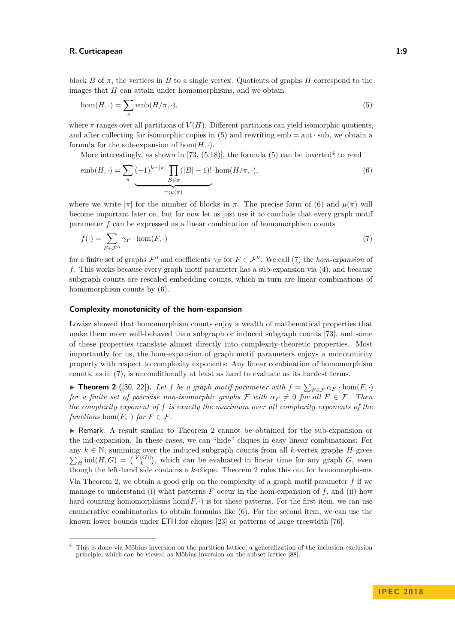<span id="page-8-0"></span>
$$
hom(H, \cdot) = \sum_{\pi} emb(H/\pi, \cdot), \tag{5}
$$

where  $\pi$  ranges over all partitions of  $V(H)$ . Different partitions can yield isomorphic quotients, and after collecting for isomorphic copies in  $(5)$  and rewriting emb = aut  $\cdot$  sub, we obtain a formula for the sub-expansion of  $hom(H, \cdot)$ .

<span id="page-8-2"></span>More interestingly, as shown in [\[73,](#page-16-8)  $(5.18)$ ], the formula  $(5)$  can be inverted<sup>[4](#page-8-1)</sup> to read

$$
emb(H, \cdot) = \sum_{\pi} \underbrace{(-1)^{k-|\pi|} \prod_{B \in \pi} (|B| - 1)!}_{=:\mu(\pi)} \cdot hom(H/\pi, \cdot),
$$
\n<sup>(6)</sup>

where we write  $|\pi|$  for the number of blocks in  $\pi$ . The precise form of [\(6\)](#page-8-2) and  $\mu(\pi)$  will become important later on, but for now let us just use it to conclude that every graph motif parameter *f* can be expressed as a linear combination of homomorphism counts

<span id="page-8-3"></span>
$$
f(\cdot) = \sum_{F \in \mathcal{F}''} \gamma_F \cdot \hom(F, \cdot) \tag{7}
$$

for a finite set of graphs  $\mathcal{F}''$  and coefficients  $\gamma_F$  for  $F \in \mathcal{F}''$ . We call [\(7\)](#page-8-3) the *hom-expansion* of *f*. This works because every graph motif parameter has a sub-expansion via [\(4\)](#page-7-1), and because subgraph counts are rescaled embedding counts, which in turn are linear combinations of homomorphism counts by [\(6\)](#page-8-2).

#### **Complexity monotonicity of the hom-expansion**

Lovász showed that homomorphism counts enjoy a wealth of mathematical properties that make them more well-behaved than subgraph or induced subgraph counts [\[73\]](#page-16-8), and some of these properties translate almost directly into complexity-theoretic properties. Most importantly for us, the hom-expansion of graph motif parameters enjoys a monotonicity property with respect to complexity exponents: Any linear combination of homomorphism counts, as in [\(7\)](#page-8-3), is unconditionally at least as hard to evaluate as its hardest terms.

<span id="page-8-4"></span>▶ **Theorem 2** ([\[30,](#page-13-14) [22\]](#page-13-13)). Let *f* be a graph motif parameter with  $f = \sum_{F \in \mathcal{F}} \alpha_F \cdot \hom(F, \cdot)$ *for a finite set of pairwise non-isomorphic graphs*  $\mathcal F$  *with*  $\alpha_F \neq 0$  *for all*  $F \in \mathcal F$ *. Then the complexity exponent of f is exactly the maximum over all complexity exponents of the functions* hom $(F, \cdot)$  *for*  $F \in \mathcal{F}$ *.* 

 $\triangleright$  Remark. A result similar to Theorem [2](#page-8-4) cannot be obtained for the sub-expansion or the ind-expansion. In these cases, we can "hide" cliques in easy linear combinations: For any  $k \in \mathbb{N}$ , summing over the induced subgraph counts from all *k*-vertex graphs *H* gives  $\sum_{H}$  ind(*H*, *G*) = (<sup>|V</sup><sub>k</sub><sup>(*G*)</sup>), which can be evaluated in linear time for any graph *G*, even though the left-hand side contains a *k*-clique. Theorem [2](#page-8-4) rules this out for homomorphisms. Via Theorem [2,](#page-8-4) we obtain a good grip on the complexity of a graph motif parameter *f* if we manage to understand (i) what patterns  $F$  occur in the hom-expansion of  $f$ , and (ii) how hard counting homomorphisms hom $(F, \cdot)$  is for these patterns. For the first item, we can use enumerative combinatorics to obtain formulas like [\(6\)](#page-8-2). For the second item, we can use the known lower bounds under ETH for cliques [\[23\]](#page-13-15) or patterns of large treewidth [\[76\]](#page-16-10).

<span id="page-8-1"></span><sup>4</sup> This is done via Möbius inversion on the partition lattice, a generalization of the inclusion-exclusion principle, which can be viewed as Möbius inversion on the subset lattice [\[88\]](#page-16-11).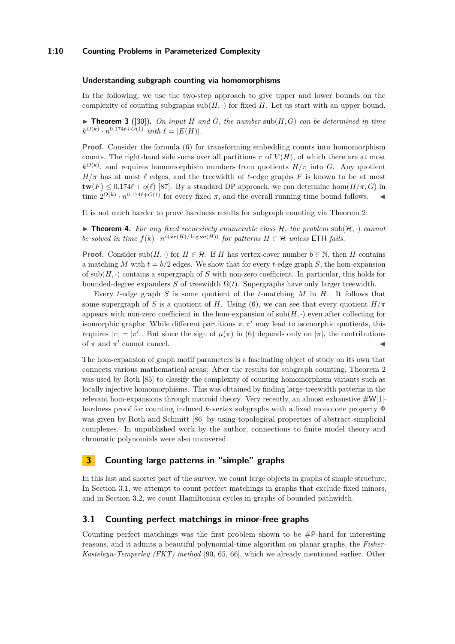# **1:10 Counting Problems in Parameterized Complexity**

#### **Understanding subgraph counting via homomorphisms**

In the following, we use the two-step approach to give upper and lower bounds on the complexity of counting subgraphs  $sub(H, \cdot)$  for fixed *H*. Let us start with an upper bound.

 $\blacktriangleright$  **Theorem 3** ([\[30\]](#page-13-14)). *On input H and G, the number* sub(*H, G*) *can be determined in time*  $k^{O(k)} \cdot n^{0.174\ell + O(1)}$  *with*  $\ell = |E(H)|$ *.* 

**Proof.** Consider the formula [\(6\)](#page-8-2) for transforming embedding counts into homomorphism counts. The right-hand side sums over all partitions  $\pi$  of  $V(H)$ , of which there are at most  $k^{O(k)}$ , and requires homomorphism numbers from quotients  $H/\pi$  into *G*. Any quotient  $H/\pi$  has at most  $\ell$  edges, and the treewidth of  $\ell$ -edge graphs *F* is known to be at most  $\mathbf{tw}(F) \leq 0.174\ell + o(\ell)$  [\[87\]](#page-16-12). By a standard DP approach, we can determine hom $(H/\pi, G)$  in time  $2^{O(k)} \cdot n^{0.174\ell + O(1)}$  for every fixed  $\pi$ , and the overall running time bound follows.

It is not much harder to prove hardness results for subgraph counting via Theorem [2:](#page-8-4)

 $\triangleright$  **Theorem 4.** For any fixed recursively enumerable class H, the problem sub(H, ·) cannot *be solved in time*  $f(k) \cdot n^{o(\textbf{vc}(H)) \log \textbf{vc}(H))}$  *for patterns*  $H \in \mathcal{H}$  *unless* ETH *fails.* 

**Proof.** Consider  $\text{sub}(H, \cdot)$  for  $H \in \mathcal{H}$ . If *H* has vertex-cover number  $b \in \mathbb{N}$ , then *H* contains a matching *M* with  $t = b/2$  edges. We show that for every *t*-edge graph *S*, the hom-expansion of sub(*H,* ·) contains a supergraph of *S* with non-zero coefficient. In particular, this holds for bounded-degree expanders *S* of treewidth  $\Omega(t)$ . Supergraphs have only larger treewidth.

Every *t*-edge graph *S* is some quotient of the *t*-matching *M* in *H*. It follows that some supergraph of *S* is a quotient of *H*. Using [\(6\)](#page-8-2), we can see that every quotient  $H/\pi$ appears with non-zero coefficient in the hom-expansion of  $\text{sub}(H, \cdot)$  even after collecting for isomorphic graphs: While different partitions  $\pi, \pi'$  may lead to isomorphic quotients, this requires  $|\pi| = |\pi'|$ . But since the sign of  $\mu(\pi)$  in [\(6\)](#page-8-2) depends only on  $|\pi|$ , the contributions of  $\pi$  and  $\pi'$  cannot cancel.

The hom-expansion of graph motif parameters is a fascinating object of study on its own that connects various mathematical areas: After the results for subgraph counting, Theorem [2](#page-8-4) was used by Roth [\[85\]](#page-16-5) to classify the complexity of counting homomorphism variants such as locally injective homomorphisms. This was obtained by finding large-treewidth patterns in the relevant hom-expansions through matroid theory. Very recently, an almost exhaustive  $\#\mathsf{W}[1]$ hardness proof for counting induced *k*-vertex subgraphs with a fixed monotone property Φ was given by Roth and Schmitt [\[86\]](#page-16-6) by using topological properties of abstract simplicial complexes. In unpublished work by the author, connections to finite model theory and chromatic polynomials were also uncovered.

# <span id="page-9-1"></span>**3 Counting large patterns in "simple" graphs**

In this last and shorter part of the survey, we count large objects in graphs of simple structure: In Section [3.1,](#page-9-0) we attempt to count perfect matchings in graphs that exclude fixed minors, and in Section [3.2,](#page-11-0) we count Hamiltonian cycles in graphs of bounded pathwidth.

# <span id="page-9-0"></span>**3.1 Counting perfect matchings in minor-free graphs**

Counting perfect matchings was the first problem shown to be #P-hard for interesting reasons, and it admits a beautiful polynomial-time algorithm on planar graphs, the *Fisher-Kasteleyn-Temperley (FKT) method* [\[90,](#page-16-1) [65,](#page-15-2) [66\]](#page-15-3), which we already mentioned earlier. Other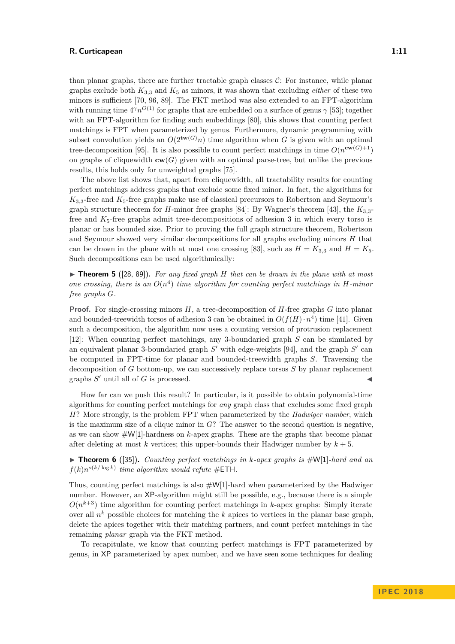than planar graphs, there are further tractable graph classes  $\mathcal{C}$ : For instance, while planar graphs exclude both  $K_{3,3}$  and  $K_5$  as minors, it was shown that excluding *either* of these two minors is sufficient [\[70,](#page-15-17) [96,](#page-17-8) [89\]](#page-16-13). The FKT method was also extended to an FPT-algorithm with running time  $4\gamma n^{O(1)}$  for graphs that are embedded on a surface of genus  $\gamma$  [\[53\]](#page-15-18); together with an FPT-algorithm for finding such embeddings [\[80\]](#page-16-14), this shows that counting perfect matchings is FPT when parameterized by genus. Furthermore, dynamic programming with subset convolution yields an  $O(2^{tw(G)}n)$  time algorithm when *G* is given with an optimal tree-decomposition [\[95\]](#page-17-9). It is also possible to count perfect matchings in time  $O(n^{\mathbf{cw}(G)+1})$ on graphs of cliquewidth  $\mathbf{cw}(G)$  given with an optimal parse-tree, but unlike the previous results, this holds only for unweighted graphs [\[75\]](#page-16-15).

The above list shows that, apart from cliquewidth, all tractability results for counting perfect matchings address graphs that exclude some fixed minor. In fact, the algorithms for  $K_{3,3}$ -free and  $K_5$ -free graphs make use of classical precursors to Robertson and Seymour's graph structure theorem for *H*-minor free graphs [\[84\]](#page-16-16): By Wagner's theorem [\[43\]](#page-14-16), the  $K_{3,3}$ free and  $K_5$ -free graphs admit tree-decompositions of adhesion 3 in which every torso is planar or has bounded size. Prior to proving the full graph structure theorem, Robertson and Seymour showed very similar decompositions for all graphs excluding minors *H* that can be drawn in the plane with at most one crossing [\[83\]](#page-16-17), such as  $H = K_{3,3}$  and  $H = K_5$ . Such decompositions can be used algorithmically:

<span id="page-10-0"></span> $\triangleright$  **Theorem 5** ([\[28,](#page-13-8) [89\]](#page-16-13)). For any fixed graph *H* that can be drawn in the plane with at most one crossing, there is an  $O(n^4)$  time algorithm for counting perfect matchings in *H-minor free graphs G.*

**Proof.** For single-crossing minors *H*, a tree-decomposition of *H*-free graphs *G* into planar and bounded-treewidth torsos of adhesion 3 can be obtained in  $O(f(H) \cdot n^4)$  time [\[41\]](#page-14-17). Given such a decomposition, the algorithm now uses a counting version of protrusion replacement [\[12\]](#page-12-13): When counting perfect matchings, any 3-boundaried graph *S* can be simulated by an equivalent planar 3-boundaried graph  $S'$  with edge-weights [\[94\]](#page-17-3), and the graph  $S'$  can be computed in FPT-time for planar and bounded-treewidth graphs *S*. Traversing the decomposition of *G* bottom-up, we can successively replace torsos *S* by planar replacement graphs  $S'$  until all of  $G$  is processed.

How far can we push this result? In particular, is it possible to obtain polynomial-time algorithms for counting perfect matchings for *any* graph class that excludes some fixed graph *H*? More strongly, is the problem FPT when parameterized by the *Hadwiger number*, which is the maximum size of a clique minor in *G*? The answer to the second question is negative, as we can show #W[1]-hardness on *k*-apex graphs. These are the graphs that become planar after deleting at most  $k$  vertices; this upper-bounds their Hadwiger number by  $k + 5$ .

▶ **Theorem 6** ([\[35\]](#page-14-10)). *Counting perfect matchings in k-apex graphs is* #W[1]*-hard and an*  $f(k)n^{o(k/\log k)}$  *time algorithm would refute* #**ETH**.

Thus, counting perfect matchings is also  $\#W[1]$ -hard when parameterized by the Hadwiger number. However, an XP-algorithm might still be possible, e.g., because there is a simple  $O(n^{k+3})$  time algorithm for counting perfect matchings in *k*-apex graphs: Simply iterate over all *n <sup>k</sup>* possible choices for matching the *k* apices to vertices in the planar base graph, delete the apices together with their matching partners, and count perfect matchings in the remaining *planar* graph via the FKT method.

To recapitulate, we know that counting perfect matchings is FPT parameterized by genus, in XP parameterized by apex number, and we have seen some techniques for dealing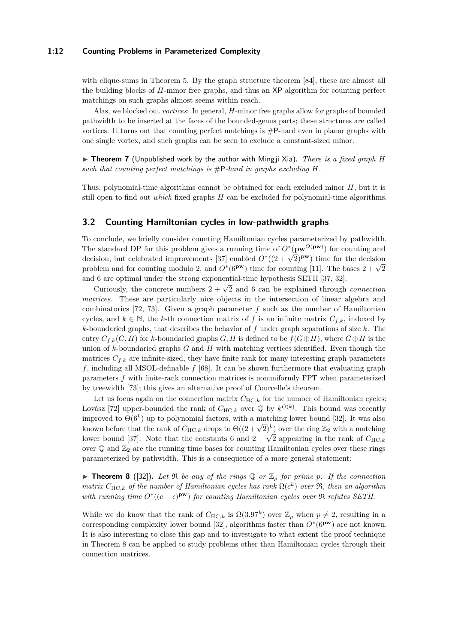### **1:12 Counting Problems in Parameterized Complexity**

with clique-sums in Theorem [5.](#page-10-0) By the graph structure theorem [\[84\]](#page-16-16), these are almost all the building blocks of *H*-minor free graphs, and thus an XP algorithm for counting perfect matchings on such graphs almost seems within reach.

Alas, we blocked out *vortices*: In general, *H*-minor free graphs allow for graphs of bounded pathwidth to be inserted at the faces of the bounded-genus parts; these structures are called vortices. It turns out that counting perfect matchings is  $\#P$ -hard even in planar graphs with one single vortex, and such graphs can be seen to exclude a constant-sized minor.

 $\triangleright$  **Theorem 7** (Unpublished work by the author with Mingji Xia). *There is a fixed graph H* such that counting perfect matchings is  $\#P$ -hard in graphs excluding  $H$ .

Thus, polynomial-time algorithms cannot be obtained for each excluded minor *H*, but it is still open to find out *which* fixed graphs *H* can be excluded for polynomial-time algorithms.

# <span id="page-11-0"></span>**3.2 Counting Hamiltonian cycles in low-pathwidth graphs**

To conclude, we briefly consider counting Hamiltonian cycles parameterized by pathwidth. The standard DP for this problem gives a running time of *O*<sup>∗</sup> (**pw***O*(**pw**) ) for counting and The standard DF for this problem gives a running time of  $O(\mathbf{p}\mathbf{w} \cdot \mathbf{w})$  for counting and decision, but celebrated improvements [\[37\]](#page-14-18) enabled  $O*(2+\sqrt{2})^{\mathbf{pw}}$  time for the decision problem and for counting modulo 2, and  $O*(\beta^{pw})$  time for counting [\[11\]](#page-12-15). The bases  $2 + \sqrt{2}$ and 6 are optimal under the strong exponential-time hypothesis SETH [\[37,](#page-14-18) [32\]](#page-13-9).

Curiously, the concrete numbers  $2 + \sqrt{2}$  and 6 can be explained through *connection matrices*. These are particularly nice objects in the intersection of linear algebra and combinatorics [\[72,](#page-16-18) [73\]](#page-16-8). Given a graph parameter *f* such as the number of Hamiltonian cycles, and  $k \in \mathbb{N}$ , the *k*-th connection matrix of *f* is an infinite matrix  $C_{f,k}$ , indexed by *k*-boundaried graphs, that describes the behavior of *f* under graph separations of size *k*. The entry  $C_{f,k}(G, H)$  for *k*-boundaried graphs  $G, H$  is defined to be  $f(G \oplus H)$ , where  $G \oplus H$  is the union of *k*-boundaried graphs *G* and *H* with matching vertices identified. Even though the matrices  $C_{f,k}$  are infinite-sized, they have finite rank for many interesting graph parameters *f*, including all MSOL-definable *f* [\[68\]](#page-15-19). It can be shown furthermore that evaluating graph parameters *f* with finite-rank connection matrices is nonuniformly FPT when parameterized by treewidth [\[73\]](#page-16-8); this gives an alternative proof of Courcelle's theorem.

Let us focus again on the connection matrix  $C_{HC,k}$  for the number of Hamiltonian cycles: Lovász [\[72\]](#page-16-18) upper-bounded the rank of  $C_{\text{HC},k}$  over  $\mathbb{Q}$  by  $k^{O(k)}$ . This bound was recently improved to  $\Theta(6^k)$  up to polynomial factors, with a matching lower bound [\[32\]](#page-13-9). It was also hiproved to  $\Theta(0)$  the to polynomial factors, with a matching lower bound [32]. It was also known before that the rank of  $C_{HC,k}$  drops to  $\Theta((2+\sqrt{2})^k)$  over the ring  $\mathbb{Z}_2$  with a matching known before that the rank of  $CHC_k$  thops to  $O((2+\sqrt{2}))$  over the ring  $\mathbb{Z}_2$  with a matching<br>lower bound [\[37\]](#page-14-18). Note that the constants 6 and  $2+\sqrt{2}$  appearing in the rank of  $C_{HC,k}$ over  $\mathbb Q$  and  $\mathbb Z_2$  are the running time bases for counting Hamiltonian cycles over these rings parameterized by pathwidth. This is a consequence of a more general statement:

<span id="page-11-1"></span>**Findmark 7** Theorem 8 ([\[32\]](#page-13-9)). Let  $\Re$  be any of the rings  $\mathbb{Q}$  or  $\mathbb{Z}_p$  for prime p. If the connection *matrix*  $C_{\text{HC},k}$  *of the number of Hamiltonian cycles has rank*  $\Omega(c^k)$  *over*  $\Re$ *, then an algorithm with running time*  $O^*((c - \epsilon)^{pw})$  *for counting Hamiltonian cycles over*  $\Re$  *refutes SETH.* 

While we do know that the rank of  $C_{\text{HC},k}$  is  $\Omega(3.97^k)$  over  $\mathbb{Z}_p$  when  $p \neq 2$ , resulting in a corresponding complexity lower bound [\[32\]](#page-13-9), algorithms faster than *O*<sup>∗</sup> (6**pw**) are not known. It is also interesting to close this gap and to investigate to what extent the proof technique in Theorem [8](#page-11-1) can be applied to study problems other than Hamiltonian cycles through their connection matrices.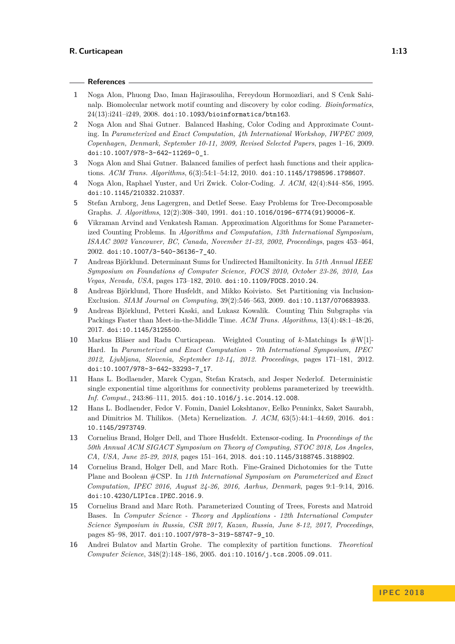## **References**

- <span id="page-12-7"></span>**1** Noga Alon, Phuong Dao, Iman Hajirasouliha, Fereydoun Hormozdiari, and S Cenk Sahinalp. Biomolecular network motif counting and discovery by color coding. *Bioinformatics*, 24(13):i241–i249, 2008. [doi:10.1093/bioinformatics/btn163](http://dx.doi.org/10.1093/bioinformatics/btn163).
- <span id="page-12-11"></span>**2** Noga Alon and Shai Gutner. Balanced Hashing, Color Coding and Approximate Counting. In *Parameterized and Exact Computation, 4th International Workshop, IWPEC 2009, Copenhagen, Denmark, September 10-11, 2009, Revised Selected Papers*, pages 1–16, 2009. [doi:10.1007/978-3-642-11269-0\\_1](http://dx.doi.org/10.1007/978-3-642-11269-0_1).
- <span id="page-12-12"></span>**3** Noga Alon and Shai Gutner. Balanced families of perfect hash functions and their applications. *ACM Trans. Algorithms*, 6(3):54:1–54:12, 2010. [doi:10.1145/1798596.1798607](http://dx.doi.org/10.1145/1798596.1798607).
- <span id="page-12-4"></span>**4** Noga Alon, Raphael Yuster, and Uri Zwick. Color-Coding. *J. ACM*, 42(4):844–856, 1995. [doi:10.1145/210332.210337](http://dx.doi.org/10.1145/210332.210337).
- <span id="page-12-10"></span>**5** Stefan Arnborg, Jens Lagergren, and Detlef Seese. Easy Problems for Tree-Decomposable Graphs. *J. Algorithms*, 12(2):308–340, 1991. [doi:10.1016/0196-6774\(91\)90006-K](http://dx.doi.org/10.1016/0196-6774(91)90006-K).
- <span id="page-12-3"></span>**6** Vikraman Arvind and Venkatesh Raman. Approximation Algorithms for Some Parameterized Counting Problems. In *Algorithms and Computation, 13th International Symposium, ISAAC 2002 Vancouver, BC, Canada, November 21-23, 2002, Proceedings*, pages 453–464, 2002. [doi:10.1007/3-540-36136-7\\_40](http://dx.doi.org/10.1007/3-540-36136-7_40).
- <span id="page-12-1"></span>**7** Andreas Björklund. Determinant Sums for Undirected Hamiltonicity. In *51th Annual IEEE Symposium on Foundations of Computer Science, FOCS 2010, October 23-26, 2010, Las Vegas, Nevada, USA*, pages 173–182, 2010. [doi:10.1109/FOCS.2010.24](http://dx.doi.org/10.1109/FOCS.2010.24).
- <span id="page-12-0"></span>**8** Andreas Björklund, Thore Husfeldt, and Mikko Koivisto. Set Partitioning via Inclusion-Exclusion. *SIAM Journal on Computing*, 39(2):546–563, 2009. [doi:10.1137/070683933](http://dx.doi.org/10.1137/070683933).
- <span id="page-12-14"></span>**9** Andreas Björklund, Petteri Kaski, and Lukasz Kowalik. Counting Thin Subgraphs via Packings Faster than Meet-in-the-Middle Time. *ACM Trans. Algorithms*, 13(4):48:1–48:26, 2017. [doi:10.1145/3125500](http://dx.doi.org/10.1145/3125500).
- <span id="page-12-5"></span>**10** Markus Bläser and Radu Curticapean. Weighted Counting of *k*-Matchings Is #W[1]- Hard. In *Parameterized and Exact Computation - 7th International Symposium, IPEC 2012, Ljubljana, Slovenia, September 12-14, 2012. Proceedings*, pages 171–181, 2012. [doi:10.1007/978-3-642-33293-7\\_17](http://dx.doi.org/10.1007/978-3-642-33293-7_17).
- <span id="page-12-15"></span>**11** Hans L. Bodlaender, Marek Cygan, Stefan Kratsch, and Jesper Nederlof. Deterministic single exponential time algorithms for connectivity problems parameterized by treewidth. *Inf. Comput.*, 243:86–111, 2015. [doi:10.1016/j.ic.2014.12.008](http://dx.doi.org/10.1016/j.ic.2014.12.008).
- <span id="page-12-13"></span>**12** Hans L. Bodlaender, Fedor V. Fomin, Daniel Lokshtanov, Eelko Penninkx, Saket Saurabh, and Dimitrios M. Thilikos. (Meta) Kernelization. *J. ACM*, 63(5):44:1–44:69, 2016. [doi:](http://dx.doi.org/10.1145/2973749) [10.1145/2973749](http://dx.doi.org/10.1145/2973749).
- <span id="page-12-8"></span>**13** Cornelius Brand, Holger Dell, and Thore Husfeldt. Extensor-coding. In *Proceedings of the 50th Annual ACM SIGACT Symposium on Theory of Computing, STOC 2018, Los Angeles, CA, USA, June 25-29, 2018*, pages 151–164, 2018. [doi:10.1145/3188745.3188902](http://dx.doi.org/10.1145/3188745.3188902).
- <span id="page-12-9"></span>**14** Cornelius Brand, Holger Dell, and Marc Roth. Fine-Grained Dichotomies for the Tutte Plane and Boolean #CSP. In *11th International Symposium on Parameterized and Exact Computation, IPEC 2016, August 24-26, 2016, Aarhus, Denmark*, pages 9:1–9:14, 2016. [doi:10.4230/LIPIcs.IPEC.2016.9](http://dx.doi.org/10.4230/LIPIcs.IPEC.2016.9).
- <span id="page-12-6"></span>**15** Cornelius Brand and Marc Roth. Parameterized Counting of Trees, Forests and Matroid Bases. In *Computer Science - Theory and Applications - 12th International Computer Science Symposium in Russia, CSR 2017, Kazan, Russia, June 8-12, 2017, Proceedings*, pages 85–98, 2017. [doi:10.1007/978-3-319-58747-9\\_10](http://dx.doi.org/10.1007/978-3-319-58747-9_10).
- <span id="page-12-2"></span>**16** Andrei Bulatov and Martin Grohe. The complexity of partition functions. *Theoretical Computer Science*, 348(2):148–186, 2005. [doi:10.1016/j.tcs.2005.09.011](http://dx.doi.org/10.1016/j.tcs.2005.09.011).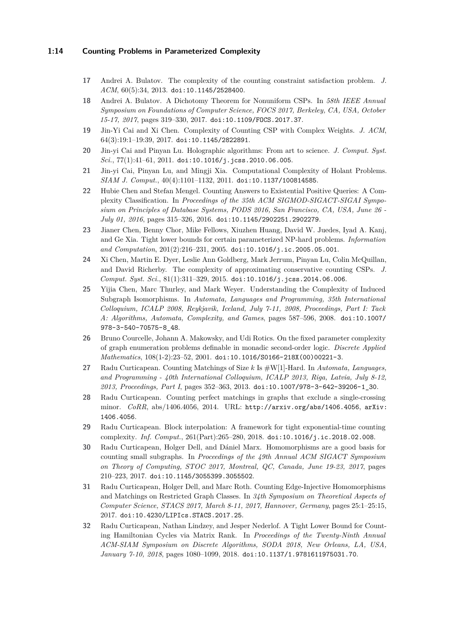# **1:14 Counting Problems in Parameterized Complexity**

- <span id="page-13-2"></span>**17** Andrei A. Bulatov. The complexity of the counting constraint satisfaction problem. *J. ACM*, 60(5):34, 2013. [doi:10.1145/2528400](http://dx.doi.org/10.1145/2528400).
- <span id="page-13-3"></span>**18** Andrei A. Bulatov. A Dichotomy Theorem for Nonuniform CSPs. In *58th IEEE Annual Symposium on Foundations of Computer Science, FOCS 2017, Berkeley, CA, USA, October 15-17, 2017*, pages 319–330, 2017. [doi:10.1109/FOCS.2017.37](http://dx.doi.org/10.1109/FOCS.2017.37).
- <span id="page-13-1"></span>**19** Jin-Yi Cai and Xi Chen. Complexity of Counting CSP with Complex Weights. *J. ACM*, 64(3):19:1–19:39, 2017. [doi:10.1145/2822891](http://dx.doi.org/10.1145/2822891).
- <span id="page-13-4"></span>**20** Jin-yi Cai and Pinyan Lu. Holographic algorithms: From art to science. *J. Comput. Syst. Sci.*, 77(1):41–61, 2011. [doi:10.1016/j.jcss.2010.06.005](http://dx.doi.org/10.1016/j.jcss.2010.06.005).
- <span id="page-13-0"></span>**21** Jin-yi Cai, Pinyan Lu, and Mingji Xia. Computational Complexity of Holant Problems. *SIAM J. Comput.*, 40(4):1101–1132, 2011. [doi:10.1137/100814585](http://dx.doi.org/10.1137/100814585).
- <span id="page-13-13"></span>**22** Hubie Chen and Stefan Mengel. Counting Answers to Existential Positive Queries: A Complexity Classification. In *Proceedings of the 35th ACM SIGMOD-SIGACT-SIGAI Symposium on Principles of Database Systems, PODS 2016, San Francisco, CA, USA, June 26 - July 01, 2016*, pages 315–326, 2016. [doi:10.1145/2902251.2902279](http://dx.doi.org/10.1145/2902251.2902279).
- <span id="page-13-15"></span>**23** Jianer Chen, Benny Chor, Mike Fellows, Xiuzhen Huang, David W. Juedes, Iyad A. Kanj, and Ge Xia. Tight lower bounds for certain parameterized NP-hard problems. *Information and Computation*, 201(2):216–231, 2005. [doi:10.1016/j.ic.2005.05.001](http://dx.doi.org/10.1016/j.ic.2005.05.001).
- <span id="page-13-5"></span>**24** Xi Chen, Martin E. Dyer, Leslie Ann Goldberg, Mark Jerrum, Pinyan Lu, Colin McQuillan, and David Richerby. The complexity of approximating conservative counting CSPs. *J. Comput. Syst. Sci.*, 81(1):311–329, 2015. [doi:10.1016/j.jcss.2014.06.006](http://dx.doi.org/10.1016/j.jcss.2014.06.006).
- <span id="page-13-12"></span>**25** Yijia Chen, Marc Thurley, and Mark Weyer. Understanding the Complexity of Induced Subgraph Isomorphisms. In *Automata, Languages and Programming, 35th International Colloquium, ICALP 2008, Reykjavik, Iceland, July 7-11, 2008, Proceedings, Part I: Tack A: Algorithms, Automata, Complexity, and Games*, pages 587–596, 2008. [doi:10.1007/](http://dx.doi.org/10.1007/978-3-540-70575-8_48) [978-3-540-70575-8\\_48](http://dx.doi.org/10.1007/978-3-540-70575-8_48).
- <span id="page-13-11"></span>**26** Bruno Courcelle, Johann A. Makowsky, and Udi Rotics. On the fixed parameter complexity of graph enumeration problems definable in monadic second-order logic. *Discrete Applied Mathematics*, 108(1-2):23–52, 2001. [doi:10.1016/S0166-218X\(00\)00221-3](http://dx.doi.org/10.1016/S0166-218X(00)00221-3).
- <span id="page-13-6"></span>**27** Radu Curticapean. Counting Matchings of Size *k* Is #W[1]-Hard. In *Automata, Languages, and Programming - 40th International Colloquium, ICALP 2013, Riga, Latvia, July 8-12, 2013, Proceedings, Part I*, pages 352–363, 2013. [doi:10.1007/978-3-642-39206-1\\_30](http://dx.doi.org/10.1007/978-3-642-39206-1_30).
- <span id="page-13-8"></span>**28** Radu Curticapean. Counting perfect matchings in graphs that exclude a single-crossing minor. *CoRR*, abs/1406.4056, 2014. URL: <http://arxiv.org/abs/1406.4056>, [arXiv:](http://arxiv.org/abs/1406.4056) [1406.4056](http://arxiv.org/abs/1406.4056).
- <span id="page-13-10"></span>**29** Radu Curticapean. Block interpolation: A framework for tight exponential-time counting complexity. *Inf. Comput.*, 261(Part):265–280, 2018. [doi:10.1016/j.ic.2018.02.008](http://dx.doi.org/10.1016/j.ic.2018.02.008).
- <span id="page-13-14"></span>**30** Radu Curticapean, Holger Dell, and Dániel Marx. Homomorphisms are a good basis for counting small subgraphs. In *Proceedings of the 49th Annual ACM SIGACT Symposium on Theory of Computing, STOC 2017, Montreal, QC, Canada, June 19-23, 2017*, pages 210–223, 2017. [doi:10.1145/3055399.3055502](http://dx.doi.org/10.1145/3055399.3055502).
- <span id="page-13-7"></span>**31** Radu Curticapean, Holger Dell, and Marc Roth. Counting Edge-Injective Homomorphisms and Matchings on Restricted Graph Classes. In *34th Symposium on Theoretical Aspects of Computer Science, STACS 2017, March 8-11, 2017, Hannover, Germany*, pages 25:1–25:15, 2017. [doi:10.4230/LIPIcs.STACS.2017.25](http://dx.doi.org/10.4230/LIPIcs.STACS.2017.25).
- <span id="page-13-9"></span>**32** Radu Curticapean, Nathan Lindzey, and Jesper Nederlof. A Tight Lower Bound for Counting Hamiltonian Cycles via Matrix Rank. In *Proceedings of the Twenty-Ninth Annual ACM-SIAM Symposium on Discrete Algorithms, SODA 2018, New Orleans, LA, USA, January 7-10, 2018*, pages 1080–1099, 2018. [doi:10.1137/1.9781611975031.70](http://dx.doi.org/10.1137/1.9781611975031.70).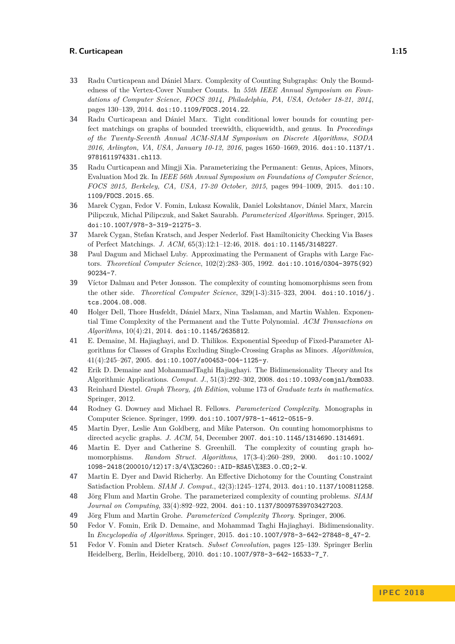- <span id="page-14-9"></span>**33** Radu Curticapean and Dániel Marx. Complexity of Counting Subgraphs: Only the Boundedness of the Vertex-Cover Number Counts. In *55th IEEE Annual Symposium on Foundations of Computer Science, FOCS 2014, Philadelphia, PA, USA, October 18-21, 2014*, pages 130–139, 2014. [doi:10.1109/FOCS.2014.22](http://dx.doi.org/10.1109/FOCS.2014.22).
- <span id="page-14-11"></span>**34** Radu Curticapean and Dániel Marx. Tight conditional lower bounds for counting perfect matchings on graphs of bounded treewidth, cliquewidth, and genus. In *Proceedings of the Twenty-Seventh Annual ACM-SIAM Symposium on Discrete Algorithms, SODA 2016, Arlington, VA, USA, January 10-12, 2016*, pages 1650–1669, 2016. [doi:10.1137/1.](http://dx.doi.org/10.1137/1.9781611974331.ch113) [9781611974331.ch113](http://dx.doi.org/10.1137/1.9781611974331.ch113).
- <span id="page-14-10"></span>**35** Radu Curticapean and Mingji Xia. Parameterizing the Permanent: Genus, Apices, Minors, Evaluation Mod 2k. In *IEEE 56th Annual Symposium on Foundations of Computer Science, FOCS 2015, Berkeley, CA, USA, 17-20 October, 2015*, pages 994–1009, 2015. [doi:10.](http://dx.doi.org/10.1109/FOCS.2015.65) [1109/FOCS.2015.65](http://dx.doi.org/10.1109/FOCS.2015.65).
- <span id="page-14-8"></span>**36** Marek Cygan, Fedor V. Fomin, Lukasz Kowalik, Daniel Lokshtanov, Dániel Marx, Marcin Pilipczuk, Michal Pilipczuk, and Saket Saurabh. *Parameterized Algorithms*. Springer, 2015. [doi:10.1007/978-3-319-21275-3](http://dx.doi.org/10.1007/978-3-319-21275-3).
- <span id="page-14-18"></span>**37** Marek Cygan, Stefan Kratsch, and Jesper Nederlof. Fast Hamiltonicity Checking Via Bases of Perfect Matchings. *J. ACM*, 65(3):12:1–12:46, 2018. [doi:10.1145/3148227](http://dx.doi.org/10.1145/3148227).
- <span id="page-14-3"></span>**38** Paul Dagum and Michael Luby. Approximating the Permanent of Graphs with Large Factors. *Theoretical Computer Science*, 102(2):283–305, 1992. [doi:10.1016/0304-3975\(92\)](http://dx.doi.org/10.1016/0304-3975(92)90234-7) [90234-7](http://dx.doi.org/10.1016/0304-3975(92)90234-7).
- <span id="page-14-15"></span>**39** Víctor Dalmau and Peter Jonsson. The complexity of counting homomorphisms seen from the other side. *Theoretical Computer Science*, 329(1-3):315–323, 2004. [doi:10.1016/j.](http://dx.doi.org/10.1016/j.tcs.2004.08.008) [tcs.2004.08.008](http://dx.doi.org/10.1016/j.tcs.2004.08.008).
- <span id="page-14-5"></span>**40** Holger Dell, Thore Husfeldt, Dániel Marx, Nina Taslaman, and Martin Wahlen. Exponential Time Complexity of the Permanent and the Tutte Polynomial. *ACM Transactions on Algorithms*, 10(4):21, 2014. [doi:10.1145/2635812](http://dx.doi.org/10.1145/2635812).
- <span id="page-14-17"></span>**41** E. Demaine, M. Hajiaghayi, and D. Thilikos. Exponential Speedup of Fixed-Parameter Algorithms for Classes of Graphs Excluding Single-Crossing Graphs as Minors. *Algorithmica*,  $41(4):245-267, 2005.$ [doi:10.1007/s00453-004-1125-y](http://dx.doi.org/10.1007/s00453-004-1125-y).
- <span id="page-14-13"></span>**42** Erik D. Demaine and MohammadTaghi Hajiaghayi. The Bidimensionality Theory and Its Algorithmic Applications. *Comput. J.*, 51(3):292–302, 2008. [doi:10.1093/comjnl/bxm033](http://dx.doi.org/10.1093/comjnl/bxm033).
- <span id="page-14-16"></span>**43** Reinhard Diestel. *Graph Theory, 4th Edition*, volume 173 of *Graduate texts in mathematics*. Springer, 2012.
- <span id="page-14-6"></span>**44** Rodney G. Downey and Michael R. Fellows. *Parameterized Complexity*. Monographs in Computer Science. Springer, 1999. [doi:10.1007/978-1-4612-0515-9](http://dx.doi.org/10.1007/978-1-4612-0515-9).
- <span id="page-14-1"></span>**45** Martin Dyer, Leslie Ann Goldberg, and Mike Paterson. On counting homomorphisms to directed acyclic graphs. *J. ACM*, 54, December 2007. [doi:10.1145/1314690.1314691](http://dx.doi.org/10.1145/1314690.1314691).
- <span id="page-14-0"></span>**46** Martin E. Dyer and Catherine S. Greenhill. The complexity of counting graph homomorphisms. *Random Struct. Algorithms*, 17(3-4):260–289, 2000. [doi:10.1002/](http://dx.doi.org/10.1002/1098-2418(200010/12)17:3/4%3C260::AID-RSA5%3E3.0.CO;2-W) [1098-2418\(200010/12\)17:3/4\%3C260::AID-RSA5\%3E3.0.CO;2-W](http://dx.doi.org/10.1002/1098-2418(200010/12)17:3/4%3C260::AID-RSA5%3E3.0.CO;2-W).
- <span id="page-14-2"></span>**47** Martin E. Dyer and David Richerby. An Effective Dichotomy for the Counting Constraint Satisfaction Problem. *SIAM J. Comput.*, 42(3):1245–1274, 2013. [doi:10.1137/100811258](http://dx.doi.org/10.1137/100811258).
- <span id="page-14-4"></span>**48** Jörg Flum and Martin Grohe. The parameterized complexity of counting problems. *SIAM Journal on Computing*, 33(4):892–922, 2004. [doi:10.1137/S0097539703427203](http://dx.doi.org/10.1137/S0097539703427203).
- <span id="page-14-7"></span>**49** Jörg Flum and Martin Grohe. *Parameterized Complexity Theory*. Springer, 2006.
- <span id="page-14-14"></span>**50** Fedor V. Fomin, Erik D. Demaine, and Mohammad Taghi Hajiaghayi. Bidimensionality. In *Encyclopedia of Algorithms*. Springer, 2015. [doi:10.1007/978-3-642-27848-8\\_47-2](http://dx.doi.org/10.1007/978-3-642-27848-8_47-2).
- <span id="page-14-12"></span>**51** Fedor V. Fomin and Dieter Kratsch. *Subset Convolution*, pages 125–139. Springer Berlin Heidelberg, Berlin, Heidelberg, 2010. [doi:10.1007/978-3-642-16533-7\\_7](http://dx.doi.org/10.1007/978-3-642-16533-7_7).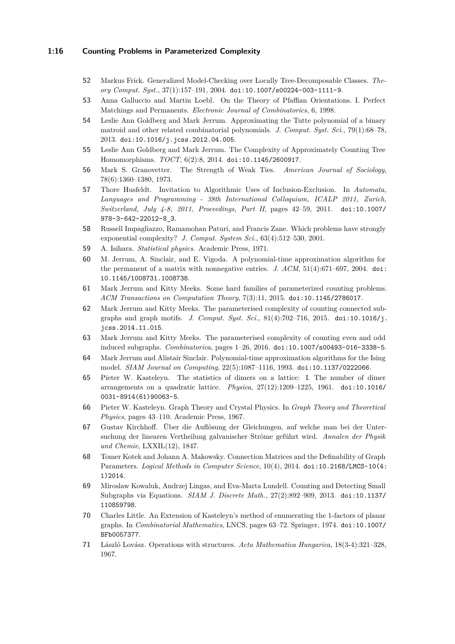# **1:16 Counting Problems in Parameterized Complexity**

- <span id="page-15-14"></span>**52** Markus Frick. Generalized Model-Checking over Locally Tree-Decomposable Classes. *Theory Comput. Syst.*, 37(1):157–191, 2004. [doi:10.1007/s00224-003-1111-9](http://dx.doi.org/10.1007/s00224-003-1111-9).
- <span id="page-15-18"></span>**53** Anna Galluccio and Martin Loebl. On the Theory of Pfaffian Orientations. I. Perfect Matchings and Permanents. *Electronic Journal of Combinatorics*, 6, 1998.
- <span id="page-15-6"></span>**54** Leslie Ann Goldberg and Mark Jerrum. Approximating the Tutte polynomial of a binary matroid and other related combinatorial polynomials. *J. Comput. Syst. Sci.*, 79(1):68–78, 2013. [doi:10.1016/j.jcss.2012.04.005](http://dx.doi.org/10.1016/j.jcss.2012.04.005).
- <span id="page-15-7"></span>**55** Leslie Ann Goldberg and Mark Jerrum. The Complexity of Approximately Counting Tree Homomorphisms. *TOCT*, 6(2):8, 2014. [doi:10.1145/2600917](http://dx.doi.org/10.1145/2600917).
- <span id="page-15-0"></span>**56** Mark S. Granovetter. The Strength of Weak Ties. *American Journal of Sociology*, 78(6):1360–1380, 1973.
- <span id="page-15-4"></span>**57** Thore Husfeldt. Invitation to Algorithmic Uses of Inclusion-Exclusion. In *Automata, Languages and Programming - 38th International Colloquium, ICALP 2011, Zurich, Switzerland, July 4-8, 2011, Proceedings, Part II*, pages 42–59, 2011. [doi:10.1007/](http://dx.doi.org/10.1007/978-3-642-22012-8_3) [978-3-642-22012-8\\_3](http://dx.doi.org/10.1007/978-3-642-22012-8_3).
- <span id="page-15-13"></span>**58** Russell Impagliazzo, Ramamohan Paturi, and Francis Zane. Which problems have strongly exponential complexity? *J. Comput. System Sci.*, 63(4):512–530, 2001.
- <span id="page-15-1"></span>**59** A. Isihara. *Statistical physics*. Academic Press, 1971.
- <span id="page-15-9"></span>**60** M. Jerrum, A. Sinclair, and E. Vigoda. A polynomial-time approximation algorithm for the permanent of a matrix with nonnegative entries. *J. ACM*, 51(4):671–697, 2004. [doi:](http://dx.doi.org/10.1145/1008731.1008738) [10.1145/1008731.1008738](http://dx.doi.org/10.1145/1008731.1008738).
- <span id="page-15-11"></span>**61** Mark Jerrum and Kitty Meeks. Some hard families of parameterized counting problems. *ACM Transactions on Computation Theory*, 7(3):11, 2015. [doi:10.1145/2786017](http://dx.doi.org/10.1145/2786017).
- <span id="page-15-12"></span>**62** Mark Jerrum and Kitty Meeks. The parameterised complexity of counting connected subgraphs and graph motifs. *J. Comput. Syst. Sci.*, 81(4):702–716, 2015. [doi:10.1016/j.](http://dx.doi.org/10.1016/j.jcss.2014.11.015) [jcss.2014.11.015](http://dx.doi.org/10.1016/j.jcss.2014.11.015).
- <span id="page-15-10"></span>**63** Mark Jerrum and Kitty Meeks. The parameterised complexity of counting even and odd induced subgraphs. *Combinatorica*, pages 1–26, 2016. [doi:10.1007/s00493-016-3338-5](http://dx.doi.org/10.1007/s00493-016-3338-5).
- <span id="page-15-8"></span>**64** Mark Jerrum and Alistair Sinclair. Polynomial-time approximation algorithms for the Ising model. *SIAM Journal on Computing*, 22(5):1087–1116, 1993. [doi:10.1137/0222066](http://dx.doi.org/10.1137/0222066).
- <span id="page-15-2"></span>**65** Pieter W. Kasteleyn. The statistics of dimers on a lattice: I. The number of dimer arrangements on a quadratic lattice. *Physica*, 27(12):1209–1225, 1961. [doi:10.1016/](http://dx.doi.org/10.1016/0031-8914(61)90063-5) [0031-8914\(61\)90063-5](http://dx.doi.org/10.1016/0031-8914(61)90063-5).
- <span id="page-15-3"></span>**66** Pieter W. Kasteleyn. Graph Theory and Crystal Physics. In *Graph Theory and Theoretical Physics*, pages 43–110. Academic Press, 1967.
- <span id="page-15-5"></span>**67** Gustav Kirchhoff. Über die Auflösung der Gleichungen, auf welche man bei der Untersuchung der linearen Vertheilung galvanischer Ströme geführt wird. *Annalen der Physik und Chemie*, LXXIL(12), 1847.
- <span id="page-15-19"></span>**68** Tomer Kotek and Johann A. Makowsky. Connection Matrices and the Definability of Graph Parameters. *Logical Methods in Computer Science*, 10(4), 2014. [doi:10.2168/LMCS-10\(4:](http://dx.doi.org/10.2168/LMCS-10(4:1)2014) [1\)2014](http://dx.doi.org/10.2168/LMCS-10(4:1)2014).
- <span id="page-15-15"></span>**69** Miroslaw Kowaluk, Andrzej Lingas, and Eva-Marta Lundell. Counting and Detecting Small Subgraphs via Equations. *SIAM J. Discrete Math.*, 27(2):892–909, 2013. [doi:10.1137/](http://dx.doi.org/10.1137/110859798) [110859798](http://dx.doi.org/10.1137/110859798).
- <span id="page-15-17"></span>**70** Charles Little. An Extension of Kasteleyn's method of enumerating the 1-factors of planar graphs. In *Combinatorial Mathematics*, LNCS, pages 63–72. Springer, 1974. [doi:10.1007/](http://dx.doi.org/10.1007/BFb0057377) [BFb0057377](http://dx.doi.org/10.1007/BFb0057377).
- <span id="page-15-16"></span>**71** László Lovász. Operations with structures. *Acta Mathematica Hungarica*, 18(3-4):321–328, 1967.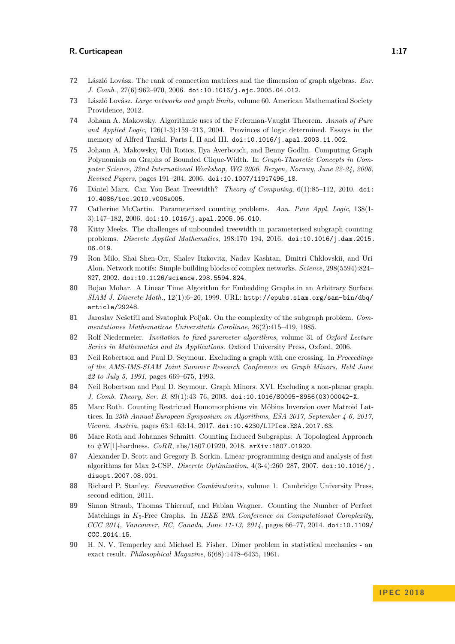- <span id="page-16-18"></span>**72** László Lovász. The rank of connection matrices and the dimension of graph algebras. *Eur. J. Comb.*, 27(6):962–970, 2006. [doi:10.1016/j.ejc.2005.04.012](http://dx.doi.org/10.1016/j.ejc.2005.04.012).
- <span id="page-16-8"></span>**73** László Lovász. *Large networks and graph limits*, volume 60. American Mathematical Society Providence, 2012.
- <span id="page-16-7"></span>**74** Johann A. Makowsky. Algorithmic uses of the Feferman-Vaught Theorem. *Annals of Pure and Applied Logic*, 126(1-3):159–213, 2004. Provinces of logic determined. Essays in the memory of Alfred Tarski. Parts I, II and III. [doi:10.1016/j.apal.2003.11.002](http://dx.doi.org/10.1016/j.apal.2003.11.002).
- <span id="page-16-15"></span>**75** Johann A. Makowsky, Udi Rotics, Ilya Averbouch, and Benny Godlin. Computing Graph Polynomials on Graphs of Bounded Clique-Width. In *Graph-Theoretic Concepts in Computer Science, 32nd International Workshop, WG 2006, Bergen, Norway, June 22-24, 2006, Revised Papers*, pages 191–204, 2006. [doi:10.1007/11917496\\_18](http://dx.doi.org/10.1007/11917496_18).
- <span id="page-16-10"></span>**76** Dániel Marx. Can You Beat Treewidth? *Theory of Computing*, 6(1):85–112, 2010. [doi:](http://dx.doi.org/10.4086/toc.2010.v006a005) [10.4086/toc.2010.v006a005](http://dx.doi.org/10.4086/toc.2010.v006a005).
- <span id="page-16-2"></span>**77** Catherine McCartin. Parameterized counting problems. *Ann. Pure Appl. Logic*, 138(1- 3):147–182, 2006. [doi:10.1016/j.apal.2005.06.010](http://dx.doi.org/10.1016/j.apal.2005.06.010).
- <span id="page-16-4"></span>**78** Kitty Meeks. The challenges of unbounded treewidth in parameterised subgraph counting problems. *Discrete Applied Mathematics*, 198:170–194, 2016. [doi:10.1016/j.dam.2015.](http://dx.doi.org/10.1016/j.dam.2015.06.019) [06.019](http://dx.doi.org/10.1016/j.dam.2015.06.019).
- <span id="page-16-0"></span>**79** Ron Milo, Shai Shen-Orr, Shalev Itzkovitz, Nadav Kashtan, Dmitri Chklovskii, and Uri Alon. Network motifs: Simple building blocks of complex networks. *Science*, 298(5594):824– 827, 2002. [doi:10.1126/science.298.5594.824](http://dx.doi.org/10.1126/science.298.5594.824).
- <span id="page-16-14"></span>**80** Bojan Mohar. A Linear Time Algorithm for Embedding Graphs in an Arbitrary Surface. *SIAM J. Discrete Math.*, 12(1):6–26, 1999. URL: [http://epubs.siam.org/sam-bin/dbq/](http://epubs.siam.org/sam-bin/dbq/article/29248) [article/29248](http://epubs.siam.org/sam-bin/dbq/article/29248).
- <span id="page-16-9"></span>**81** Jaroslav Nešetřil and Svatopluk Poljak. On the complexity of the subgraph problem. *Commentationes Mathematicae Universitatis Carolinae*, 26(2):415–419, 1985.
- <span id="page-16-3"></span>**82** Rolf Niedermeier. *Invitation to fixed-parameter algorithms*, volume 31 of *Oxford Lecture Series in Mathematics and its Applications*. Oxford University Press, Oxford, 2006.
- <span id="page-16-17"></span>**83** Neil Robertson and Paul D. Seymour. Excluding a graph with one crossing. In *Proceedings of the AMS-IMS-SIAM Joint Summer Research Conference on Graph Minors, Held June 22 to July 5, 1991*, pages 669–675, 1993.
- <span id="page-16-16"></span>**84** Neil Robertson and Paul D. Seymour. Graph Minors. XVI. Excluding a non-planar graph. *J. Comb. Theory, Ser. B*, 89(1):43–76, 2003. [doi:10.1016/S0095-8956\(03\)00042-X](http://dx.doi.org/10.1016/S0095-8956(03)00042-X).
- <span id="page-16-5"></span>**85** Marc Roth. Counting Restricted Homomorphisms via Möbius Inversion over Matroid Lattices. In *25th Annual European Symposium on Algorithms, ESA 2017, September 4-6, 2017, Vienna, Austria*, pages 63:1–63:14, 2017. [doi:10.4230/LIPIcs.ESA.2017.63](http://dx.doi.org/10.4230/LIPIcs.ESA.2017.63).
- <span id="page-16-6"></span>**86** Marc Roth and Johannes Schmitt. Counting Induced Subgraphs: A Topological Approach to #W[1]-hardness. *CoRR*, abs/1807.01920, 2018. [arXiv:1807.01920](http://arxiv.org/abs/1807.01920).
- <span id="page-16-12"></span>**87** Alexander D. Scott and Gregory B. Sorkin. Linear-programming design and analysis of fast algorithms for Max 2-CSP. *Discrete Optimization*, 4(3-4):260–287, 2007. [doi:10.1016/j.](http://dx.doi.org/10.1016/j.disopt.2007.08.001) [disopt.2007.08.001](http://dx.doi.org/10.1016/j.disopt.2007.08.001).
- <span id="page-16-11"></span>**88** Richard P. Stanley. *Enumerative Combinatorics*, volume 1. Cambridge University Press, second edition, 2011.
- <span id="page-16-13"></span>**89** Simon Straub, Thomas Thierauf, and Fabian Wagner. Counting the Number of Perfect Matchings in *K*5-Free Graphs. In *IEEE 29th Conference on Computational Complexity, CCC 2014, Vancouver, BC, Canada, June 11-13, 2014*, pages 66–77, 2014. [doi:10.1109/](http://dx.doi.org/10.1109/CCC.2014.15) [CCC.2014.15](http://dx.doi.org/10.1109/CCC.2014.15).
- <span id="page-16-1"></span>**90** H. N. V. Temperley and Michael E. Fisher. Dimer problem in statistical mechanics - an exact result. *Philosophical Magazine*, 6(68):1478–6435, 1961.